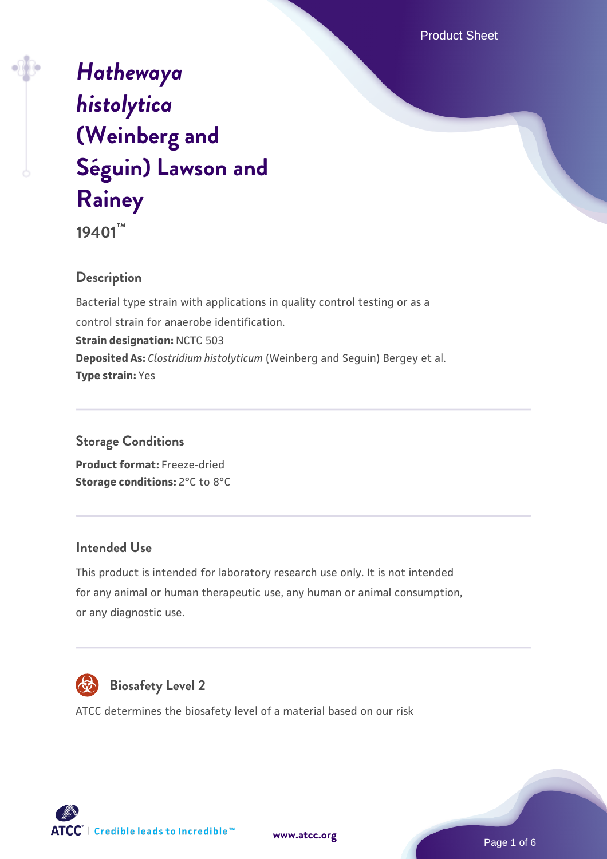# *[Hathewaya](https://www.atcc.org/products/19401) [histolytica](https://www.atcc.org/products/19401)* **[\(Weinberg and](https://www.atcc.org/products/19401) [Séguin\) Lawson and](https://www.atcc.org/products/19401) [Rainey](https://www.atcc.org/products/19401)**

**19401™**

## **Description**

Bacterial type strain with applications in quality control testing or as a control strain for anaerobe identification. **Strain designation:** NCTC 503 **Deposited As:** *Clostridium histolyticum* (Weinberg and Seguin) Bergey et al. **Type strain:** Yes

#### **Storage Conditions**

**Product format:** Freeze-dried **Storage conditions: 2°C to 8°C** 

#### **Intended Use**

This product is intended for laboratory research use only. It is not intended for any animal or human therapeutic use, any human or animal consumption, or any diagnostic use.



## **Biosafety Level 2**

ATCC determines the biosafety level of a material based on our risk



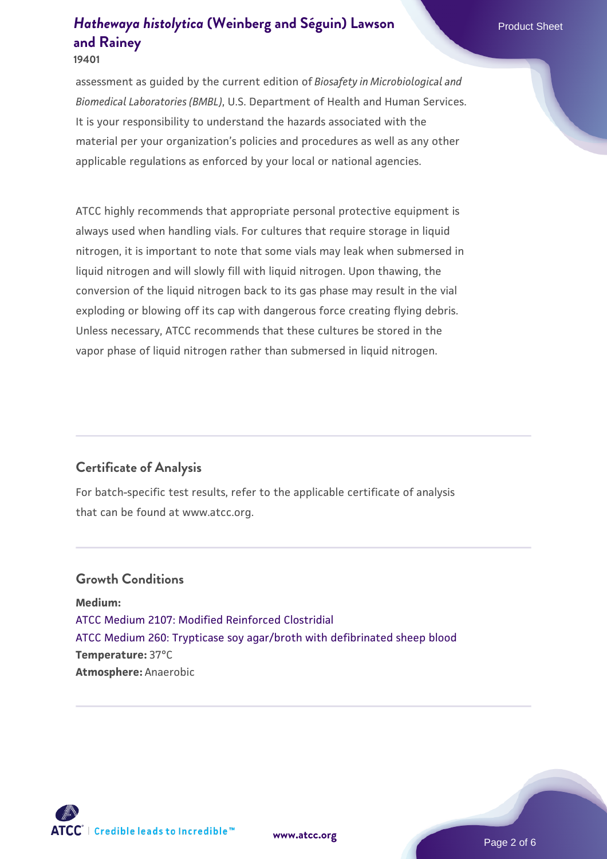**19401**

assessment as guided by the current edition of *Biosafety in Microbiological and Biomedical Laboratories (BMBL)*, U.S. Department of Health and Human Services. It is your responsibility to understand the hazards associated with the material per your organization's policies and procedures as well as any other applicable regulations as enforced by your local or national agencies.

ATCC highly recommends that appropriate personal protective equipment is always used when handling vials. For cultures that require storage in liquid nitrogen, it is important to note that some vials may leak when submersed in liquid nitrogen and will slowly fill with liquid nitrogen. Upon thawing, the conversion of the liquid nitrogen back to its gas phase may result in the vial exploding or blowing off its cap with dangerous force creating flying debris. Unless necessary, ATCC recommends that these cultures be stored in the vapor phase of liquid nitrogen rather than submersed in liquid nitrogen.

#### **Certificate of Analysis**

For batch-specific test results, refer to the applicable certificate of analysis that can be found at www.atcc.org.

#### **Growth Conditions**

**Medium:**  [ATCC Medium 2107: Modified Reinforced Clostridial](https://www.atcc.org/-/media/product-assets/documents/microbial-media-formulations/2/1/0/7/atcc-medium-2107.pdf?rev=ee9354b0a6e64625ada8a6381e27065c) [ATCC Medium 260: Trypticase soy agar/broth with defibrinated sheep blood](https://www.atcc.org/-/media/product-assets/documents/microbial-media-formulations/2/6/0/atcc-medium-0260.pdf?rev=5d6614780b1c4acf817a324e2507f087) **Temperature:** 37°C **Atmosphere:** Anaerobic

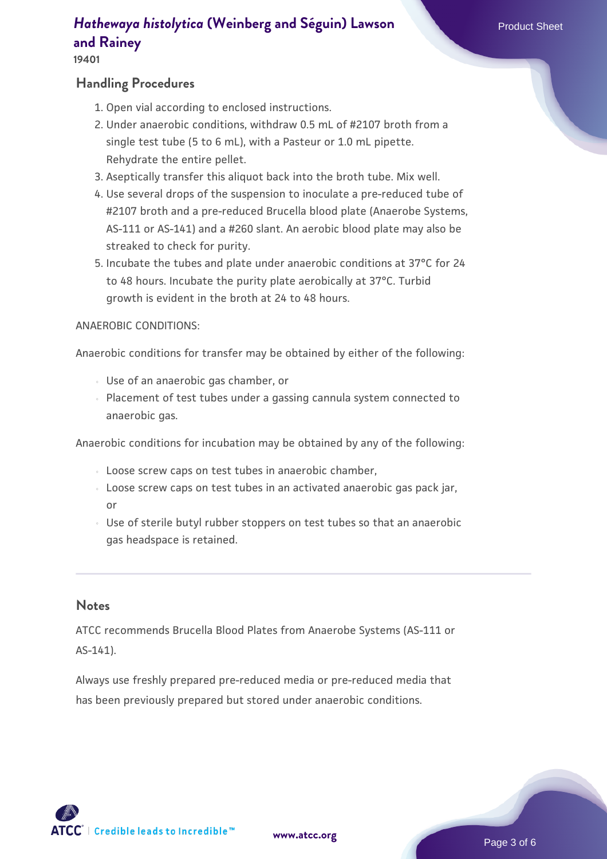#### **19401**

#### **Handling Procedures**

- 1. Open vial according to enclosed instructions.
- 2. Under anaerobic conditions, withdraw 0.5 mL of #2107 broth from a single test tube (5 to 6 mL), with a Pasteur or 1.0 mL pipette. Rehydrate the entire pellet.
- 3. Aseptically transfer this aliquot back into the broth tube. Mix well.
- 4. Use several drops of the suspension to inoculate a pre-reduced tube of #2107 broth and a pre-reduced Brucella blood plate (Anaerobe Systems, AS-111 or AS-141) and a #260 slant. An aerobic blood plate may also be streaked to check for purity.
- 5. Incubate the tubes and plate under anaerobic conditions at 37°C for 24 to 48 hours. Incubate the purity plate aerobically at 37°C. Turbid growth is evident in the broth at 24 to 48 hours.

#### ANAEROBIC CONDITIONS:

Anaerobic conditions for transfer may be obtained by either of the following:

- Use of an anaerobic gas chamber, or
- $\, \circ \,$  Placement of test tubes under a gassing cannula system connected to anaerobic gas.

Anaerobic conditions for incubation may be obtained by any of the following:

- Loose screw caps on test tubes in anaerobic chamber,
- Loose screw caps on test tubes in an activated anaerobic gas pack jar, or
- Use of sterile butyl rubber stoppers on test tubes so that an anaerobic gas headspace is retained.

#### **Notes**

ATCC recommends Brucella Blood Plates from Anaerobe Systems (AS-111 or AS-141).

Always use freshly prepared pre-reduced media or pre-reduced media that has been previously prepared but stored under anaerobic conditions.

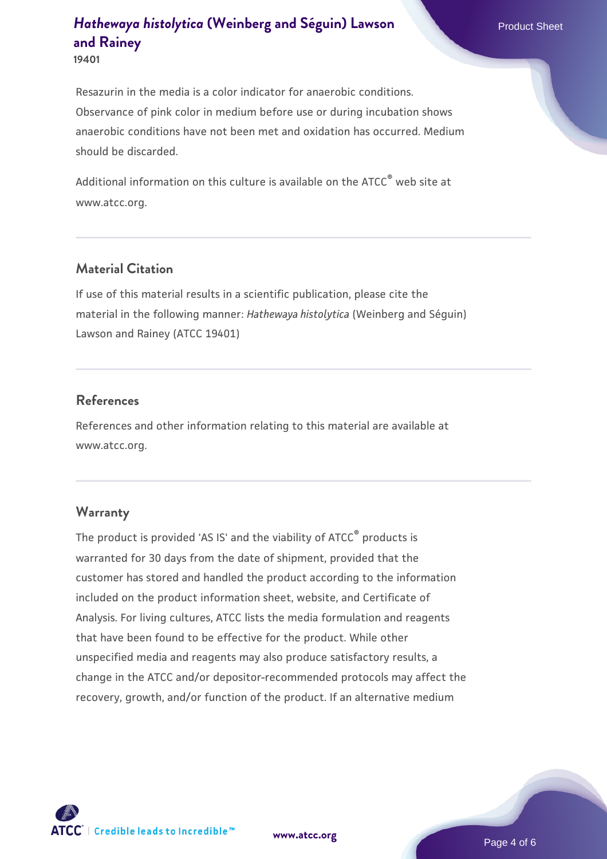Resazurin in the media is a color indicator for anaerobic conditions. Observance of pink color in medium before use or during incubation shows anaerobic conditions have not been met and oxidation has occurred. Medium should be discarded.

Additional information on this culture is available on the ATCC<sup>®</sup> web site at www.atcc.org.

#### **Material Citation**

If use of this material results in a scientific publication, please cite the material in the following manner: *Hathewaya histolytica* (Weinberg and Séguin) Lawson and Rainey (ATCC 19401)

#### **References**

References and other information relating to this material are available at www.atcc.org.

#### **Warranty**

The product is provided 'AS IS' and the viability of ATCC® products is warranted for 30 days from the date of shipment, provided that the customer has stored and handled the product according to the information included on the product information sheet, website, and Certificate of Analysis. For living cultures, ATCC lists the media formulation and reagents that have been found to be effective for the product. While other unspecified media and reagents may also produce satisfactory results, a change in the ATCC and/or depositor-recommended protocols may affect the recovery, growth, and/or function of the product. If an alternative medium



**[www.atcc.org](http://www.atcc.org)**

Page 4 of 6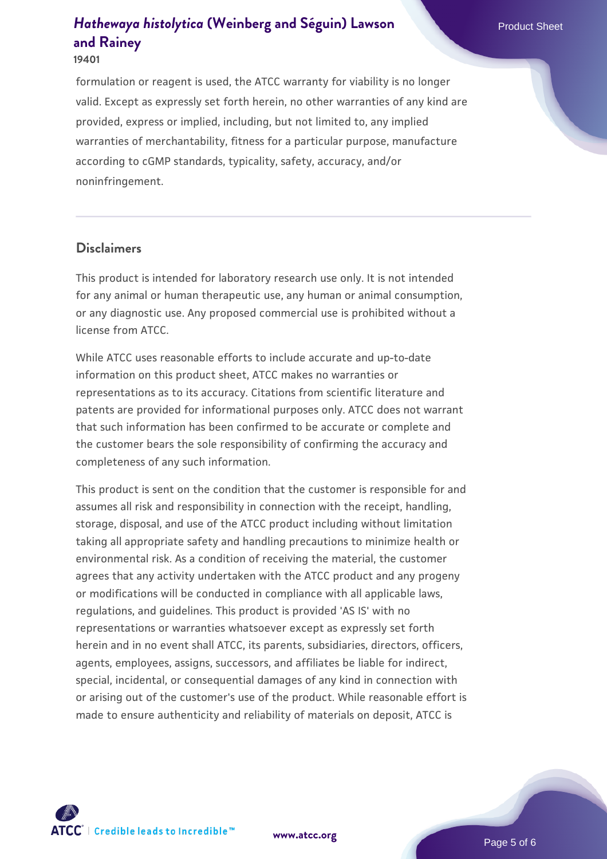#### **19401**

formulation or reagent is used, the ATCC warranty for viability is no longer valid. Except as expressly set forth herein, no other warranties of any kind are provided, express or implied, including, but not limited to, any implied warranties of merchantability, fitness for a particular purpose, manufacture according to cGMP standards, typicality, safety, accuracy, and/or noninfringement.

#### **Disclaimers**

This product is intended for laboratory research use only. It is not intended for any animal or human therapeutic use, any human or animal consumption, or any diagnostic use. Any proposed commercial use is prohibited without a license from ATCC.

While ATCC uses reasonable efforts to include accurate and up-to-date information on this product sheet, ATCC makes no warranties or representations as to its accuracy. Citations from scientific literature and patents are provided for informational purposes only. ATCC does not warrant that such information has been confirmed to be accurate or complete and the customer bears the sole responsibility of confirming the accuracy and completeness of any such information.

This product is sent on the condition that the customer is responsible for and assumes all risk and responsibility in connection with the receipt, handling, storage, disposal, and use of the ATCC product including without limitation taking all appropriate safety and handling precautions to minimize health or environmental risk. As a condition of receiving the material, the customer agrees that any activity undertaken with the ATCC product and any progeny or modifications will be conducted in compliance with all applicable laws, regulations, and guidelines. This product is provided 'AS IS' with no representations or warranties whatsoever except as expressly set forth herein and in no event shall ATCC, its parents, subsidiaries, directors, officers, agents, employees, assigns, successors, and affiliates be liable for indirect, special, incidental, or consequential damages of any kind in connection with or arising out of the customer's use of the product. While reasonable effort is made to ensure authenticity and reliability of materials on deposit, ATCC is